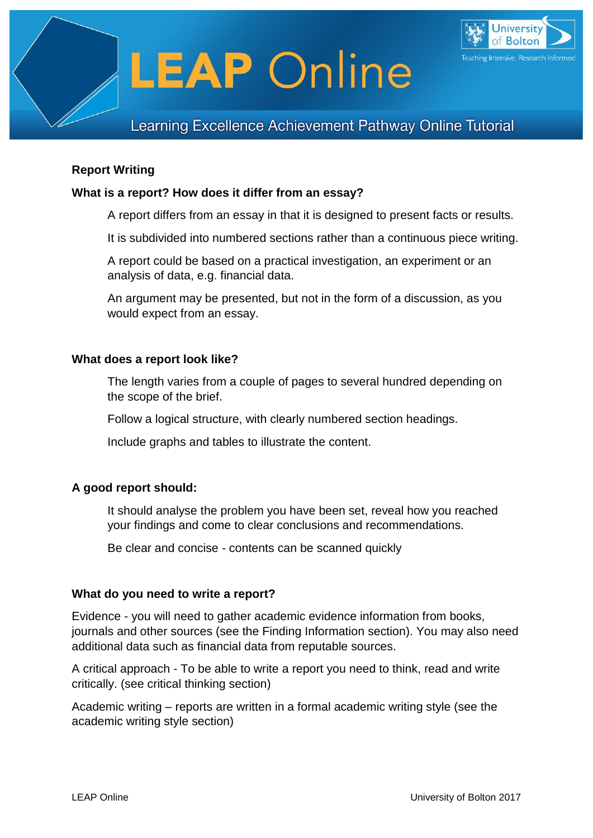



# Learning Excellence Achievement Pathway Online Tutorial

# **Report Writing**

#### **What is a report? How does it differ from an essay?**

A report differs from an essay in that it is designed to present facts or results.

It is subdivided into numbered sections rather than a continuous piece writing.

A report could be based on a practical investigation, an experiment or an analysis of data, e.g. financial data.

An argument may be presented, but not in the form of a discussion, as you would expect from an essay.

#### **What does a report look like?**

The length varies from a couple of pages to several hundred depending on the scope of the brief.

Follow a logical structure, with clearly numbered section headings.

Include graphs and tables to illustrate the content.

# **A good report should:**

It should analyse the problem you have been set, reveal how you reached your findings and come to clear conclusions and recommendations.

Be clear and concise - contents can be scanned quickly

#### **What do you need to write a report?**

Evidence - you will need to gather academic evidence information from books, journals and other sources (see the Finding Information section). You may also need additional data such as financial data from reputable sources.

A critical approach - To be able to write a report you need to think, read and write critically. (see critical thinking section)

Academic writing – reports are written in a formal academic writing style (see the academic writing style section)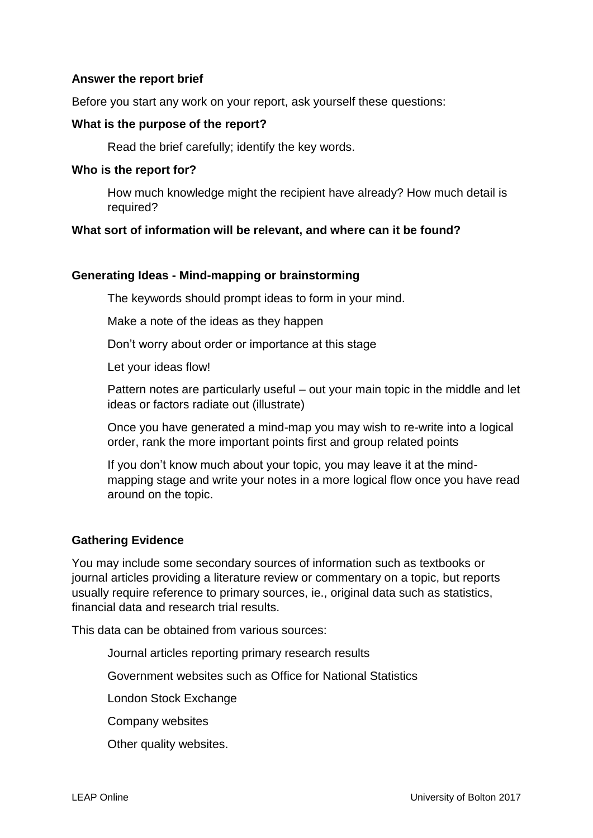# **Answer the report brief**

Before you start any work on your report, ask yourself these questions:

#### **What is the purpose of the report?**

Read the brief carefully; identify the key words.

#### **Who is the report for?**

How much knowledge might the recipient have already? How much detail is required?

# **What sort of information will be relevant, and where can it be found?**

#### **Generating Ideas - Mind-mapping or brainstorming**

The keywords should prompt ideas to form in your mind.

Make a note of the ideas as they happen

Don't worry about order or importance at this stage

Let your ideas flow!

Pattern notes are particularly useful – out your main topic in the middle and let ideas or factors radiate out (illustrate)

Once you have generated a mind-map you may wish to re-write into a logical order, rank the more important points first and group related points

If you don't know much about your topic, you may leave it at the mindmapping stage and write your notes in a more logical flow once you have read around on the topic.

# **Gathering Evidence**

You may include some secondary sources of information such as textbooks or journal articles providing a literature review or commentary on a topic, but reports usually require reference to primary sources, ie., original data such as statistics, financial data and research trial results.

This data can be obtained from various sources:

Journal articles reporting primary research results

Government websites such as Office for National Statistics

London Stock Exchange

Company websites

Other quality websites.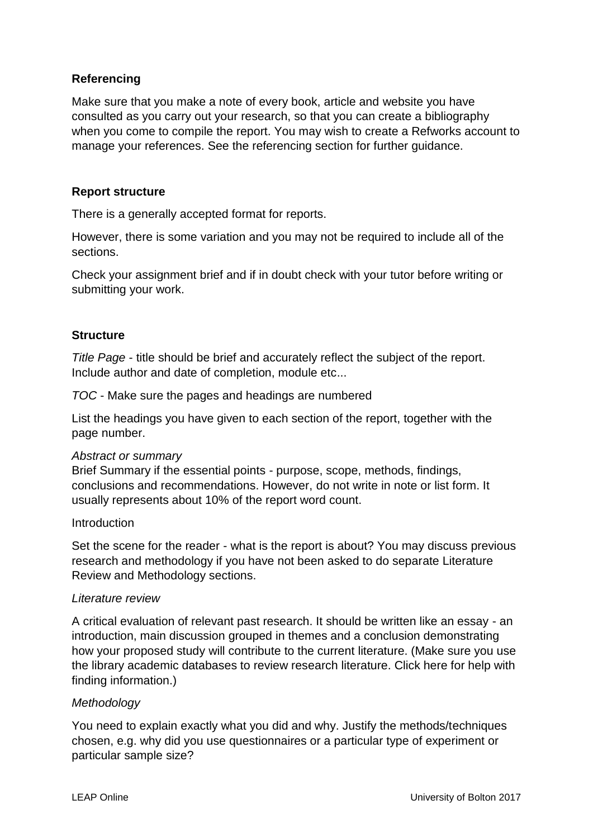# **Referencing**

Make sure that you make a note of every book, article and website you have consulted as you carry out your research, so that you can create a bibliography when you come to compile the report. You may wish to create a Refworks account to manage your references. See the referencing section for further guidance.

### **Report structure**

There is a generally accepted format for reports.

However, there is some variation and you may not be required to include all of the sections.

Check your assignment brief and if in doubt check with your tutor before writing or submitting your work.

#### **Structure**

*Title Page* - title should be brief and accurately reflect the subject of the report. Include author and date of completion, module etc...

*TOC* - Make sure the pages and headings are numbered

List the headings you have given to each section of the report, together with the page number.

#### *Abstract or summary*

Brief Summary if the essential points - purpose, scope, methods, findings, conclusions and recommendations. However, do not write in note or list form. It usually represents about 10% of the report word count.

#### Introduction

Set the scene for the reader - what is the report is about? You may discuss previous research and methodology if you have not been asked to do separate Literature Review and Methodology sections.

#### *Literature review*

A critical evaluation of relevant past research. It should be written like an essay - an introduction, main discussion grouped in themes and a conclusion demonstrating how your proposed study will contribute to the current literature. (Make sure you use the library academic databases to review research literature. Click here for help with finding information.)

#### *Methodology*

You need to explain exactly what you did and why. Justify the methods/techniques chosen, e.g. why did you use questionnaires or a particular type of experiment or particular sample size?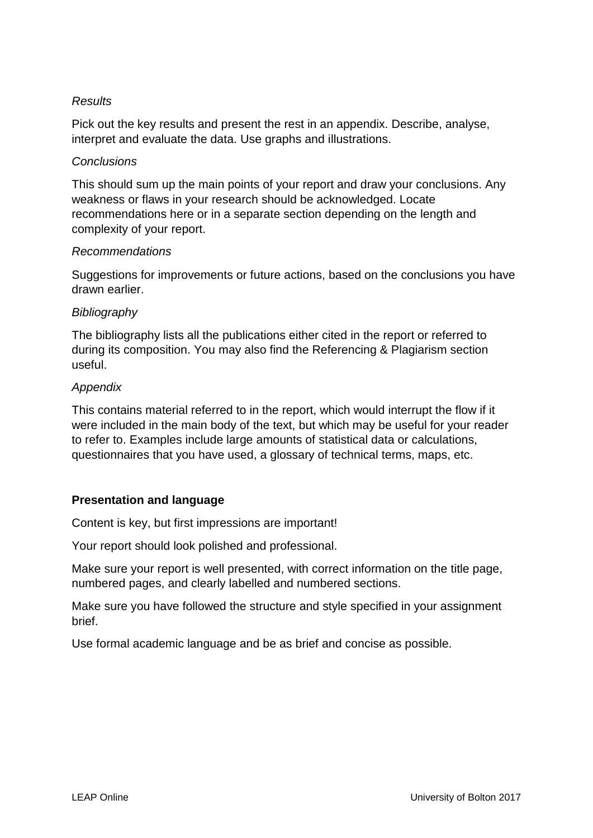# *Results*

Pick out the key results and present the rest in an appendix. Describe, analyse, interpret and evaluate the data. Use graphs and illustrations.

#### *Conclusions*

This should sum up the main points of your report and draw your conclusions. Any weakness or flaws in your research should be acknowledged. Locate recommendations here or in a separate section depending on the length and complexity of your report.

#### *Recommendations*

Suggestions for improvements or future actions, based on the conclusions you have drawn earlier.

#### *Bibliography*

The bibliography lists all the publications either cited in the report or referred to during its composition. You may also find the Referencing & Plagiarism section useful.

#### *Appendix*

This contains material referred to in the report, which would interrupt the flow if it were included in the main body of the text, but which may be useful for your reader to refer to. Examples include large amounts of statistical data or calculations, questionnaires that you have used, a glossary of technical terms, maps, etc.

# **Presentation and language**

Content is key, but first impressions are important!

Your report should look polished and professional.

Make sure your report is well presented, with correct information on the title page, numbered pages, and clearly labelled and numbered sections.

Make sure you have followed the structure and style specified in your assignment brief.

Use formal academic language and be as brief and concise as possible.